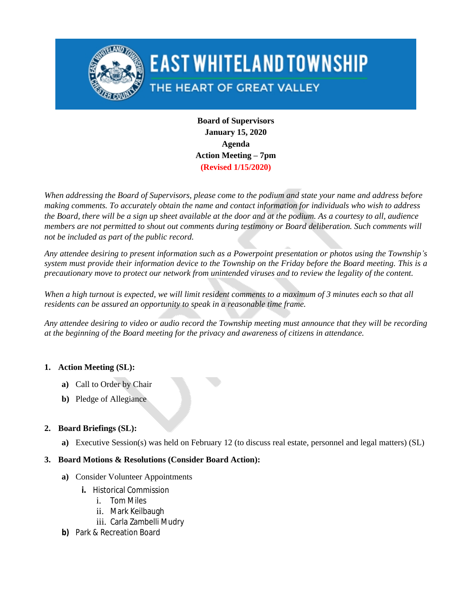

# **EAST WHITELAND TOWNSHIP**

# THE HEART OF GREAT VALLEY

**Board of Supervisors January 15, 2020 Agenda Action Meeting – 7pm (Revised 1/15/2020)**

*When addressing the Board of Supervisors, please come to the podium and state your name and address before making comments. To accurately obtain the name and contact information for individuals who wish to address the Board, there will be a sign up sheet available at the door and at the podium. As a courtesy to all, audience members are not permitted to shout out comments during testimony or Board deliberation. Such comments will not be included as part of the public record.*

Any attendee desiring to present information such as a Powerpoint presentation or photos using the Township's system must provide their information device to the Township on the Friday before the Board meeting. This is a *precautionary move to protect our network from unintended viruses and to review the legality of the content.*

*When a high turnout is expected, we will limit resident comments to a maximum of 3 minutes each so that all residents can be assured an opportunity to speak in a reasonable time frame.*

Any attendee desiring to video or audio record the Township meeting must announce that they will be recording *at the beginning of the Board meeting for the privacy and awareness of citizens in attendance.*

## **1. Action Meeting (SL):**

- **a)** Call to Order by Chair
- **b)** Pledge of Allegiance

# **2. Board Briefings (SL):**

**a)** Executive Session(s) was held on February 12 (to discuss real estate, personnel and legal matters) (SL)

## **3. Board Motions & Resolutions (Consider Board Action):**

- **a)** Consider Volunteer Appointments
	- **i.** Historical Commission
		- i. Tom Miles
		- ii. Mark Keilbaugh
		- iii. Carla Zambelli Mudry
- **b)** Park & Recreation Board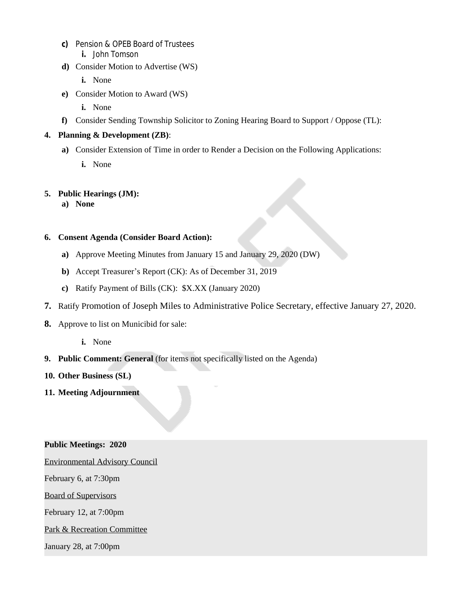- **c)** Pension & OPEB Board of Trustees **i.** John Tomson
- **d)** Consider Motion to Advertise (WS)
	- **i.** None
- **e)** Consider Motion to Award (WS)
	- **i.** None
- **f)** Consider Sending Township Solicitor to Zoning Hearing Board to Support / Oppose (TL):

#### **4. Planning & Development (ZB)**:

- **a)** Consider Extension of Time in order to Render a Decision on the Following Applications:
	- **i.** None

#### **5. Public Hearings (JM):**

**a) None**

#### **6. Consent Agenda (Consider Board Action):**

- **a)** Approve Meeting Minutes from January 15 and January 29, 2020 (DW)
- **b)** Accept Treasurer's Report (CK): As of December 31, 2019
- **c)** Ratify Payment of Bills (CK): \$X.XX (January 2020)
- **7.** Ratify Promotion of Joseph Miles to Administrative Police Secretary, effective January 27, 2020.
- **8.** Approve to list on Municibid for sale:
	- **i.** None
- **9. Public Comment: General** (for items not specifically listed on the Agenda)
- **10. Other Business (SL)**
- **11. Meeting Adjournment**

#### **Public Meetings: 2020**

Environmental Advisory Council

February 6, at 7:30pm

Board of Supervisors

February 12, at 7:00pm

#### Park & Recreation Committee

January 28, at 7:00pm